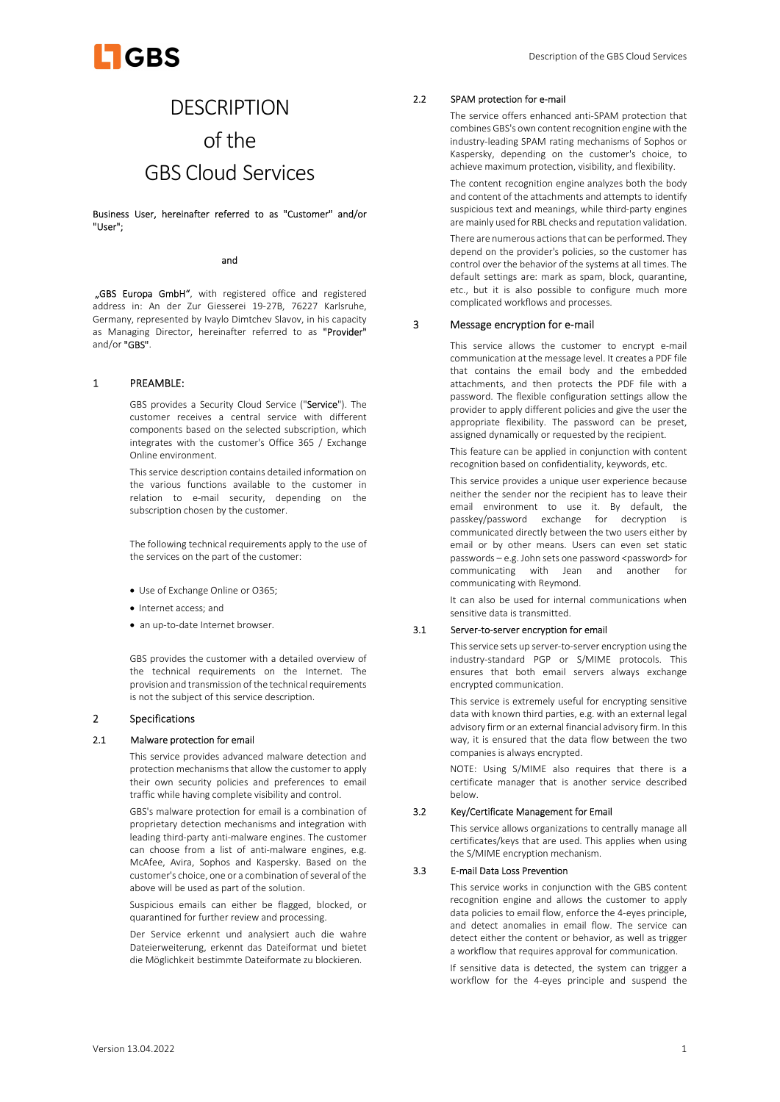

# **DESCRIPTION** of the GBS Cloud Services

Business User, hereinafter referred to as "Customer" and/or "User";

#### and

"GBS Europa GmbH", with registered office and registered address in: An der Zur Giesserei 19-27B, 76227 Karlsruhe, Germany, represented by Ivaylo Dimtchev Slavov, in his capacity as Managing Director, hereinafter referred to as "Provider" and/or "GBS".

#### 1 PREAMBLE:

GBS provides a Security Cloud Service ("Service"). The customer receives a central service with different components based on the selected subscription, which integrates with the customer's Office 365 / Exchange Online environment.

This service description contains detailed information on the various functions available to the customer in relation to e-mail security, depending on the subscription chosen by the customer.

The following technical requirements apply to the use of the services on the part of the customer:

- Use of Exchange Online or O365;
- Internet access: and
- an up-to-date Internet browser.

GBS provides the customer with a detailed overview of the technical requirements on the Internet. The provision and transmission of the technical requirements is not the subject of this service description.

## 2 Specifications

## 2.1 Malware protection for email

This service provides advanced malware detection and protection mechanisms that allow the customer to apply their own security policies and preferences to email traffic while having complete visibility and control.

GBS's malware protection for email is a combination of proprietary detection mechanisms and integration with leading third-party anti-malware engines. The customer can choose from a list of anti-malware engines, e.g. McAfee, Avira, Sophos and Kaspersky. Based on the customer's choice, one or a combination of several of the above will be used as part of the solution.

Suspicious emails can either be flagged, blocked, or quarantined for further review and processing.

Der Service erkennt und analysiert auch die wahre Dateierweiterung, erkennt das Dateiformat und bietet die Möglichkeit bestimmte Dateiformate zu blockieren.

#### 2.2 SPAM protection for e-mail

The service offers enhanced anti-SPAM protection that combines GBS's own content recognition engine with the industry-leading SPAM rating mechanisms of Sophos or Kaspersky, depending on the customer's choice, to achieve maximum protection, visibility, and flexibility.

The content recognition engine analyzes both the body and content of the attachments and attempts to identify suspicious text and meanings, while third-party engines are mainly used for RBL checks and reputation validation.

There are numerous actions that can be performed. They depend on the provider's policies, so the customer has control over the behavior of the systems at all times. The default settings are: mark as spam, block, quarantine, etc., but it is also possible to configure much more complicated workflows and processes.

## 3 Message encryption for e-mail

This service allows the customer to encrypt e-mail communication at the message level. It creates a PDF file that contains the email body and the embedded attachments, and then protects the PDF file with a password. The flexible configuration settings allow the provider to apply different policies and give the user the appropriate flexibility. The password can be preset, assigned dynamically or requested by the recipient.

This feature can be applied in conjunction with content recognition based on confidentiality, keywords, etc.

This service provides a unique user experience because neither the sender nor the recipient has to leave their email environment to use it. By default, the passkey/password exchange for decryption is communicated directly between the two users either by email or by other means. Users can even set static passwords - e.g. John sets one password <password> for communicating with Jean and another for communicating with Reymond.

It can also be used for internal communications when sensitive data is transmitted.

#### 3.1 Server-to-server encryption for email

This service sets up server-to-server encryption using the industry-standard PGP or S/MIME protocols. This ensures that both email servers always exchange encrypted communication.

This service is extremely useful for encrypting sensitive data with known third parties, e.g. with an external legal advisory firm or an external financial advisory firm. In this way, it is ensured that the data flow between the two companies is always encrypted.

NOTE: Using S/MIME also requires that there is a certificate manager that is another service described below.

## 3.2 Key/Certificate Management for Email

This service allows organizations to centrally manage all certificates/keys that are used. This applies when using the S/MIME encryption mechanism.

## 3.3 E-mail Data Loss Prevention

This service works in conjunction with the GBS content recognition engine and allows the customer to apply data policies to email flow, enforce the 4-eyes principle, and detect anomalies in email flow. The service can detect either the content or behavior, as well as trigger a workflow that requires approval for communication.

If sensitive data is detected, the system can trigger a workflow for the 4-eyes principle and suspend the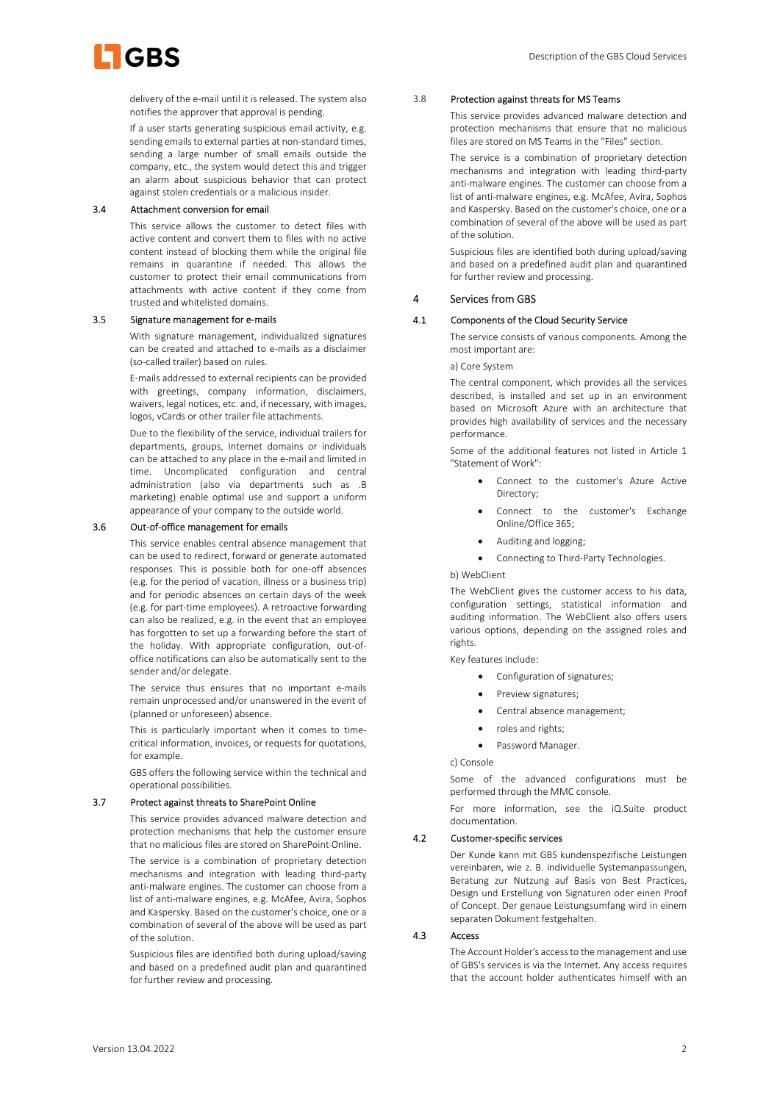

delivery of the e-mail until it is released. The system also notifies the approver that approval is pending.

If a user starts generating suspicious email activity, e.g. sending emails to external parties at non-standard times, sending a large number of small emails outside the company, etc., the system would detect this and trigger an alarm about suspicious behavior that can protect against stolen credentials or a malicious insider.

## 3.4 Attachment conversion for email

This service allows the customer to detect files with active content and convert them to files with no active content instead of blocking them while the original file remains in quarantine if needed. This allows the customer to protect their email communications from attachments with active content if they come from trusted and whitelisted domains.

#### 3.5 Signature management for e-mails

With signature management, individualized signatures can be created and attached to e-mails as a disclaimer (so-called trailer) based on rules.

E-mails addressed to external recipients can be provided with greetings, company information, disclaimers, waivers, legal notices, etc. and, if necessary, with images, logos, vCards or other trailer file attachments.

Due to the flexibility of the service, individual trailers for departments, groups, Internet domains or individuals can be attached to any place in the e-mail and limited in time. Uncomplicated configuration and central administration (also via departments such as .B marketing) enable optimal use and support a uniform appearance of your company to the outside world.

#### 3.6 Out-of-office management for emails

This service enables central absence management that can be used to redirect, forward or generate automated responses. This is possible both for one-off absences (e.g. for the period of vacation, illness or a business trip) and for periodic absences on certain days of the week (e.g. for part-time employees). A retroactive forwarding can also be realized, e.g. in the event that an employee has forgotten to set up a forwarding before the start of the holiday. With appropriate configuration, out-ofoffice notifications can also be automatically sent to the sender and/or delegate.

The service thus ensures that no important e-mails remain unprocessed and/or unanswered in the event of (planned or unforeseen) absence.

This is particularly important when it comes to timecritical information, invoices, or requests for quotations, for example.

GBS offers the following service within the technical and operational possibilities.

#### 3.7 Protect against threats to SharePoint Online

This service provides advanced malware detection and protection mechanisms that help the customer ensure that no malicious files are stored on SharePoint Online.

The service is a combination of proprietary detection mechanisms and integration with leading third-party anti-malware engines. The customer can choose from a list of anti-malware engines, e.g. McAfee, Avira, Sophos and Kaspersky. Based on the customer's choice, one or a combination of several of the above will be used as part of the solution.

Suspicious files are identified both during upload/saving and based on a predefined audit plan and quarantined for further review and processing.

## 3.8 Protection against threats for MS Teams

This service provides advanced malware detection and protection mechanisms that ensure that no malicious files are stored on MS Teams in the "Files" section.

The service is a combination of proprietary detection mechanisms and integration with leading third-party anti-malware engines. The customer can choose from a list of anti-malware engines, e.g. McAfee, Avira, Sophos and Kaspersky. Based on the customer's choice, one or a combination of several of the above will be used as part of the solution.

Suspicious files are identified both during upload/saving and based on a predefined audit plan and quarantined for further review and processing.

#### 4 Services from GBS

#### 4.1 Components of the Cloud Security Service

The service consists of various components. Among the most important are:

a) Core System

The central component, which provides all the services described, is installed and set up in an environment based on Microsoft Azure with an architecture that provides high availability of services and the necessary performance.

Some of the additional features not listed in Article 1 "Statement of Work":

- Connect to the customer's Azure Active Directory;
- Connect to the customer's Exchange Online/Office 365;
- Auditing and logging;
- Connecting to Third-Party Technologies.

#### b) WebClient

The WebClient gives the customer access to his data, configuration settings, statistical information and auditing information. The WebClient also offers users various options, depending on the assigned roles and rights.

Key features include:

- Configuration of signatures;
- Preview signatures;
- Central absence management;
- roles and rights;
- Password Manager.

c) Console

Some of the advanced configurations must be performed through the MMC console.

For more information, see the iQ.Suite product documentation.

## 4.2 Customer-specific services

Der Kunde kann mit GBS kundenspezifische Leistungen vereinbaren, wie z. B. individuelle Systemanpassungen, Beratung zur Nutzung auf Basis von Best Practices, Design und Erstellung von Signaturen oder einen Proof of Concept. Der genaue Leistungsumfang wird in einem separaten Dokument festgehalten.

## 4.3 Access

The Account Holder's access to the management and use of GBS's services is via the Internet. Any access requires that the account holder authenticates himself with an